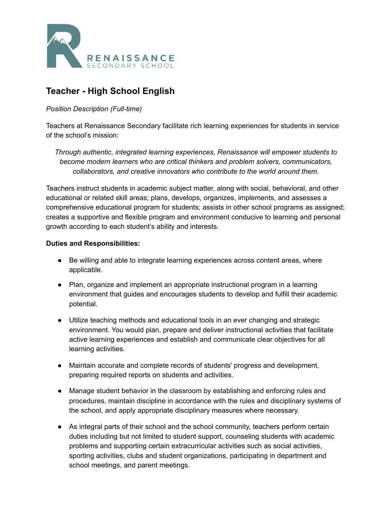

# **Teacher - High School English**

#### *Position Description (Full-time)*

Teachers at Renaissance Secondary facilitate rich learning experiences for students in service of the school's mission:

*Through authentic, integrated learning experiences, Renaissance will empower students to become modern learners who are critical thinkers and problem solvers, communicators, collaborators, and creative innovators who contribute to the world around them.*

Teachers instruct students in academic subject matter, along with social, behavioral, and other educational or related skill areas; plans, develops, organizes, implements, and assesses a comprehensive educational program for students; assists in other school programs as assigned; creates a supportive and flexible program and environment conducive to learning and personal growth according to each student's ability and interests.

#### **Duties and Responsibilities:**

- Be willing and able to integrate learning experiences across content areas, where applicable.
- Plan, organize and implement an appropriate instructional program in a learning environment that guides and encourages students to develop and fulfill their academic potential.
- Utilize teaching methods and educational tools in an ever changing and strategic environment. You would plan, prepare and deliver instructional activities that facilitate active learning experiences and establish and communicate clear objectives for all learning activities.
- Maintain accurate and complete records of students' progress and development, preparing required reports on students and activities.
- Manage student behavior in the classroom by establishing and enforcing rules and procedures, maintain discipline in accordance with the rules and disciplinary systems of the school, and apply appropriate disciplinary measures where necessary.
- As integral parts of their school and the school community, teachers perform certain duties including but not limited to student support, counseling students with academic problems and supporting certain extracurricular activities such as social activities, sporting activities, clubs and student organizations, participating in department and school meetings, and parent meetings.